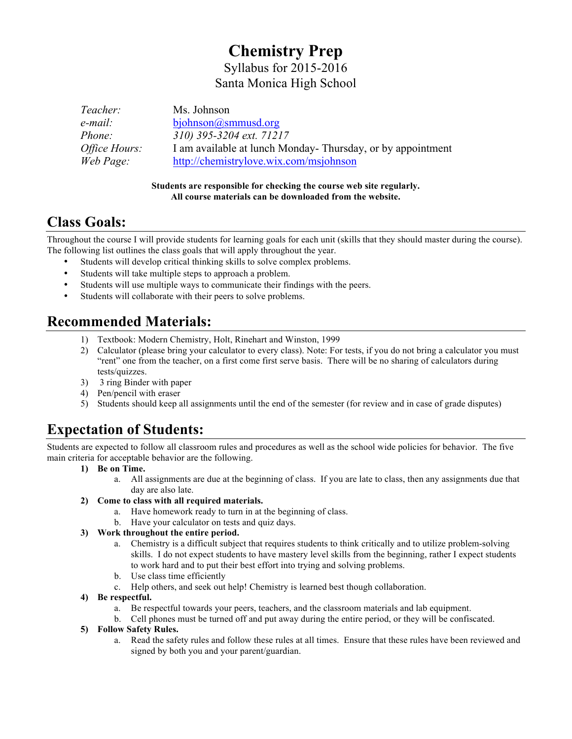# **Chemistry Prep**

Syllabus for 2015-2016 Santa Monica High School

| Teacher:             | Ms. Johnson                                                |
|----------------------|------------------------------------------------------------|
| e-mail:              | biohnson@smmusd.org                                        |
| <i>Phone:</i>        | 310) 395-3204 ext. 71217                                   |
| <i>Office Hours:</i> | I am available at lunch Monday-Thursday, or by appointment |
| Web Page:            | http://chemistrylove.wix.com/msjohnson                     |

#### **Students are responsible for checking the course web site regularly. All course materials can be downloaded from the website.**

## **Class Goals:**

Throughout the course I will provide students for learning goals for each unit (skills that they should master during the course). The following list outlines the class goals that will apply throughout the year.

- Students will develop critical thinking skills to solve complex problems.
- Students will take multiple steps to approach a problem.
- Students will use multiple ways to communicate their findings with the peers.
- Students will collaborate with their peers to solve problems.

## **Recommended Materials:**

- 1) Textbook: Modern Chemistry, Holt, Rinehart and Winston, 1999
- 2) Calculator (please bring your calculator to every class). Note: For tests, if you do not bring a calculator you must "rent" one from the teacher, on a first come first serve basis. There will be no sharing of calculators during tests/quizzes.
- 3) 3 ring Binder with paper
- 4) Pen/pencil with eraser
- 5) Students should keep all assignments until the end of the semester (for review and in case of grade disputes)

## **Expectation of Students:**

Students are expected to follow all classroom rules and procedures as well as the school wide policies for behavior. The five main criteria for acceptable behavior are the following.

- **1) Be on Time.** 
	- a. All assignments are due at the beginning of class. If you are late to class, then any assignments due that day are also late.
- **2) Come to class with all required materials.**
	- a. Have homework ready to turn in at the beginning of class.
	- b. Have your calculator on tests and quiz days.

#### **3) Work throughout the entire period.**

- a. Chemistry is a difficult subject that requires students to think critically and to utilize problem-solving skills. I do not expect students to have mastery level skills from the beginning, rather I expect students to work hard and to put their best effort into trying and solving problems.
- b. Use class time efficiently
- c. Help others, and seek out help! Chemistry is learned best though collaboration.

#### **4) Be respectful.**

- a. Be respectful towards your peers, teachers, and the classroom materials and lab equipment.
- b. Cell phones must be turned off and put away during the entire period, or they will be confiscated.

#### **5) Follow Safety Rules.**

a. Read the safety rules and follow these rules at all times. Ensure that these rules have been reviewed and signed by both you and your parent/guardian.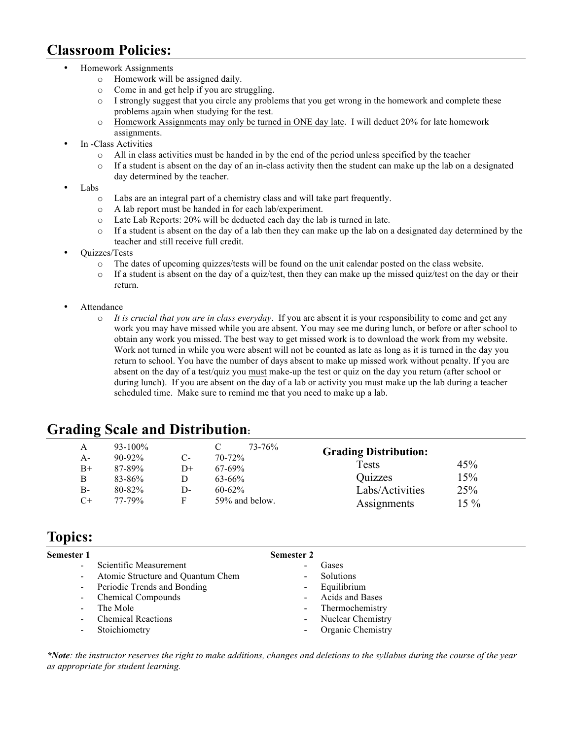### **Classroom Policies:**

- Homework Assignments
	- o Homework will be assigned daily.
	- o Come in and get help if you are struggling.
	- $\circ$  I strongly suggest that you circle any problems that you get wrong in the homework and complete these problems again when studying for the test.
	- o Homework Assignments may only be turned in ONE day late. I will deduct 20% for late homework assignments.
- In -Class Activities
	- o All in class activities must be handed in by the end of the period unless specified by the teacher
	- $\circ$  If a student is absent on the day of an in-class activity then the student can make up the lab on a designated day determined by the teacher.
- Labs
	- o Labs are an integral part of a chemistry class and will take part frequently.
	- o A lab report must be handed in for each lab/experiment.
	- o Late Lab Reports: 20% will be deducted each day the lab is turned in late.
	- $\circ$  If a student is absent on the day of a lab then they can make up the lab on a designated day determined by the teacher and still receive full credit.
- Quizzes/Tests
	- o The dates of upcoming quizzes/tests will be found on the unit calendar posted on the class website.
	- $\circ$  If a student is absent on the day of a quiz/test, then they can make up the missed quiz/test on the day or their return.
- **Attendance** 
	- o *It is crucial that you are in class everyday*. If you are absent it is your responsibility to come and get any work you may have missed while you are absent. You may see me during lunch, or before or after school to obtain any work you missed. The best way to get missed work is to download the work from my website. Work not turned in while you were absent will not be counted as late as long as it is turned in the day you return to school. You have the number of days absent to make up missed work without penalty. If you are absent on the day of a test/quiz you must make-up the test or quiz on the day you return (after school or during lunch). If you are absent on the day of a lab or activity you must make up the lab during a teacher scheduled time. Make sure to remind me that you need to make up a lab.

### **Grading Scale and Distribution:**

| A            | $93 - 100\%$       |          | 73-76%<br>$70-72%$ | <b>Grading Distribution:</b> |        |
|--------------|--------------------|----------|--------------------|------------------------------|--------|
| $A-$<br>$B+$ | $90-92%$<br>87-89% | С-<br>D+ | $67 - 69\%$        | Tests                        | 45%    |
| B            | $83 - 86\%$        |          | $63 - 66\%$        | Quizzes                      | 15%    |
| $B-$         | $80 - 82\%$        | D-       | $60 - 62\%$        | Labs/Activities              | 25%    |
| $C+$         | $77 - 79\%$        | F        | 59% and below.     | Assignments                  | $15\%$ |

### **Topics:**

| Semester 1               |                                   | <b>Semester 2</b>        |                   |
|--------------------------|-----------------------------------|--------------------------|-------------------|
| $\blacksquare$           | Scientific Measurement            | $\overline{\phantom{0}}$ | Gases             |
| $\blacksquare$           | Atomic Structure and Quantum Chem | $\blacksquare$           | Solutions         |
|                          | - Periodic Trends and Bonding     | $\blacksquare$           | Equilibrium       |
| $\sim$                   | Chemical Compounds                | $\blacksquare$           | Acids and Bases   |
| $\omega$                 | The Mole                          | $\blacksquare$           | Thermochemistry   |
| $\blacksquare$           | <b>Chemical Reactions</b>         | $\blacksquare$           | Nuclear Chemistry |
| $\overline{\phantom{a}}$ | Stoichiometry                     |                          | Organic Chemistry |
|                          |                                   |                          |                   |

*\*Note: the instructor reserves the right to make additions, changes and deletions to the syllabus during the course of the year as appropriate for student learning.*